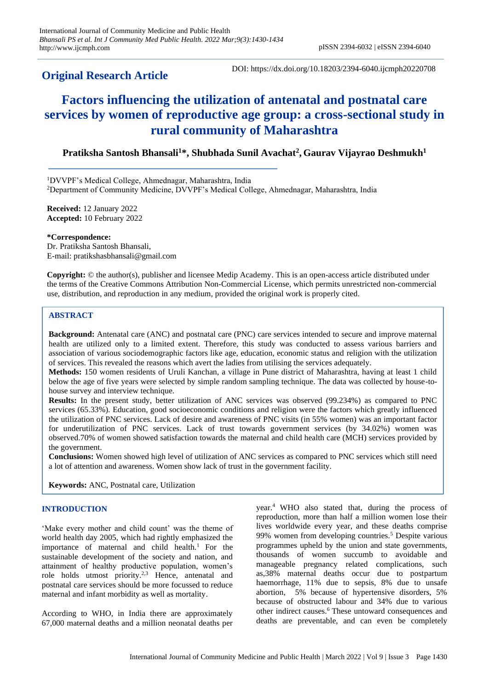## **Original Research Article**

DOI: https://dx.doi.org/10.18203/2394-6040.ijcmph20220708

# **Factors influencing the utilization of antenatal and postnatal care services by women of reproductive age group: a cross-sectional study in rural community of Maharashtra**

### **Pratiksha Santosh Bhansali<sup>1</sup>\*, Shubhada Sunil Avachat<sup>2</sup> , Gaurav Vijayrao Deshmukh<sup>1</sup>**

<sup>1</sup>DVVPF's Medical College, Ahmednagar, Maharashtra, India <sup>2</sup>Department of Community Medicine, DVVPF's Medical College, Ahmednagar, Maharashtra, India

**Received:** 12 January 2022 **Accepted:** 10 February 2022

#### **\*Correspondence:**

Dr. Pratiksha Santosh Bhansali, E-mail: pratikshasbhansali@gmail.com

**Copyright:** © the author(s), publisher and licensee Medip Academy. This is an open-access article distributed under the terms of the Creative Commons Attribution Non-Commercial License, which permits unrestricted non-commercial use, distribution, and reproduction in any medium, provided the original work is properly cited.

#### **ABSTRACT**

**Background:** Antenatal care (ANC) and postnatal care (PNC) care services intended to secure and improve maternal health are utilized only to a limited extent. Therefore, this study was conducted to assess various barriers and association of various sociodemographic factors like age, education, economic status and religion with the utilization of services. This revealed the reasons which avert the ladies from utilising the services adequately.

**Methods:** 150 women residents of Uruli Kanchan, a village in Pune district of Maharashtra, having at least 1 child below the age of five years were selected by simple random sampling technique. The data was collected by house-tohouse survey and interview technique.

**Results:** In the present study, better utilization of ANC services was observed (99.234%) as compared to PNC services (65.33%). Education, good socioeconomic conditions and religion were the factors which greatly influenced the utilization of PNC services. Lack of desire and awareness of PNC visits (in 55% women) was an important factor for underutilization of PNC services. Lack of trust towards government services (by 34.02%) women was observed.70% of women showed satisfaction towards the maternal and child health care (MCH) services provided by the government.

**Conclusions:** Women showed high level of utilization of ANC services as compared to PNC services which still need a lot of attention and awareness. Women show lack of trust in the government facility.

**Keywords:** ANC, Postnatal care, Utilization

#### **INTRODUCTION**

'Make every mother and child count' was the theme of world health day 2005, which had rightly emphasized the importance of maternal and child health.<sup>1</sup> For the sustainable development of the society and nation, and attainment of healthy productive population, women's role holds utmost priority.<sup>2,3</sup> Hence, antenatal and postnatal care services should be more focussed to reduce maternal and infant morbidity as well as mortality.

According to WHO, in India there are approximately 67,000 maternal deaths and a million neonatal deaths per

year.<sup>4</sup>WHO also stated that, during the process of reproduction, more than half a million women lose their lives worldwide every year, and these deaths comprise 99% women from developing countries.<sup>5</sup> Despite various programmes upheld by the union and state governments, thousands of women succumb to avoidable and manageable pregnancy related complications, such as,38% maternal deaths occur due to postpartum haemorrhage, 11% due to sepsis, 8% due to unsafe abortion, 5% because of hypertensive disorders, 5% because of obstructed labour and 34% due to various other indirect causes.<sup>6</sup> These untoward consequences and deaths are preventable, and can even be completely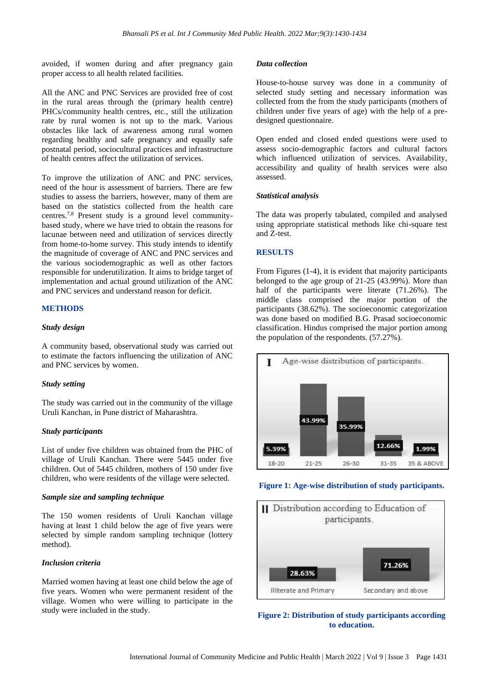avoided, if women during and after pregnancy gain proper access to all health related facilities.

All the ANC and PNC Services are provided free of cost in the rural areas through the (primary health centre) PHCs/community health centres, etc., still the utilization rate by rural women is not up to the mark. Various obstacles like lack of awareness among rural women regarding healthy and safe pregnancy and equally safe postnatal period, sociocultural practices and infrastructure of health centres affect the utilization of services.

To improve the utilization of ANC and PNC services, need of the hour is assessment of barriers. There are few studies to assess the barriers, however, many of them are based on the statistics collected from the health care centres.7,8 Present study is a ground level communitybased study, where we have tried to obtain the reasons for lacunae between need and utilization of services directly from home-to-home survey. This study intends to identify the magnitude of coverage of ANC and PNC services and the various sociodemographic as well as other factors responsible for underutilization. It aims to bridge target of implementation and actual ground utilization of the ANC and PNC services and understand reason for deficit.

#### **METHODS**

#### *Study design*

A community based, observational study was carried out to estimate the factors influencing the utilization of ANC and PNC services by women.

#### *Study setting*

The study was carried out in the community of the village Uruli Kanchan, in Pune district of Maharashtra.

#### *Study participants*

List of under five children was obtained from the PHC of village of Uruli Kanchan. There were 5445 under five children. Out of 5445 children, mothers of 150 under five children, who were residents of the village were selected.

#### *Sample size and sampling technique*

The 150 women residents of Uruli Kanchan village having at least 1 child below the age of five years were selected by simple random sampling technique (lottery method).

#### *Inclusion criteria*

Married women having at least one child below the age of five years. Women who were permanent resident of the village. Women who were willing to participate in the study were included in the study.

#### *Data collection*

House-to-house survey was done in a community of selected study setting and necessary information was collected from the from the study participants (mothers of children under five years of age) with the help of a predesigned questionnaire.

Open ended and closed ended questions were used to assess socio-demographic factors and cultural factors which influenced utilization of services. Availability, accessibility and quality of health services were also assessed.

#### *Statistical analysis*

The data was properly tabulated, compiled and analysed using appropriate statistical methods like chi-square test and Z-test.

#### **RESULTS**

From Figures (1-4), it is evident that majority participants belonged to the age group of 21-25 (43.99%). More than half of the participants were literate (71.26%). The middle class comprised the major portion of the participants (38.62%). The socioeconomic categorization was done based on modified B.G. Prasad socioeconomic classification. Hindus comprised the major portion among the population of the respondents. (57.27%).



#### **Figure 1: Age-wise distribution of study participants.**



**Figure 2: Distribution of study participants according to education.**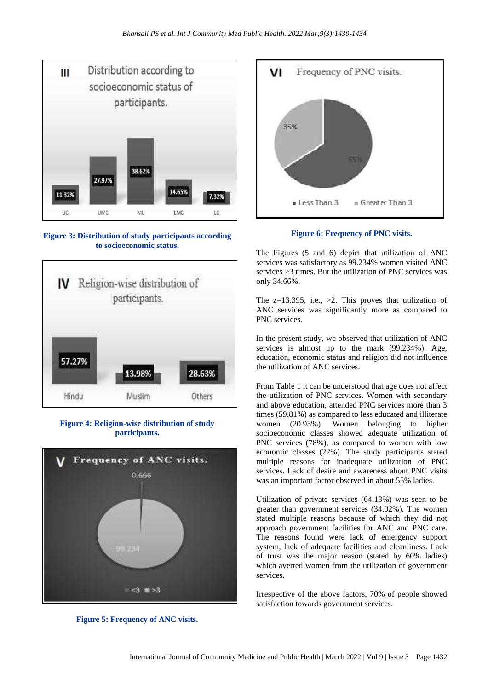

**Figure 3: Distribution of study participants according to socioeconomic status.**



#### **Figure 4: Religion-wise distribution of study participants.**



**Figure 5: Frequency of ANC visits.**



**Figure 6: Frequency of PNC visits.**

The Figures (5 and 6) depict that utilization of ANC services was satisfactory as 99.234% women visited ANC services >3 times. But the utilization of PNC services was only 34.66%.

The  $z=13.395$ , i.e.,  $>2$ . This proves that utilization of ANC services was significantly more as compared to PNC services.

In the present study, we observed that utilization of ANC services is almost up to the mark (99.234%). Age, education, economic status and religion did not influence the utilization of ANC services.

From Table 1 it can be understood that age does not affect the utilization of PNC services. Women with secondary and above education, attended PNC services more than 3 times (59.81%) as compared to less educated and illiterate women (20.93%). Women belonging to higher socioeconomic classes showed adequate utilization of PNC services (78%), as compared to women with low economic classes (22%). The study participants stated multiple reasons for inadequate utilization of PNC services. Lack of desire and awareness about PNC visits was an important factor observed in about 55% ladies.

Utilization of private services (64.13%) was seen to be greater than government services (34.02%). The women stated multiple reasons because of which they did not approach government facilities for ANC and PNC care. The reasons found were lack of emergency support system, lack of adequate facilities and cleanliness. Lack of trust was the major reason (stated by 60% ladies) which averted women from the utilization of government services.

Irrespective of the above factors, 70% of people showed satisfaction towards government services.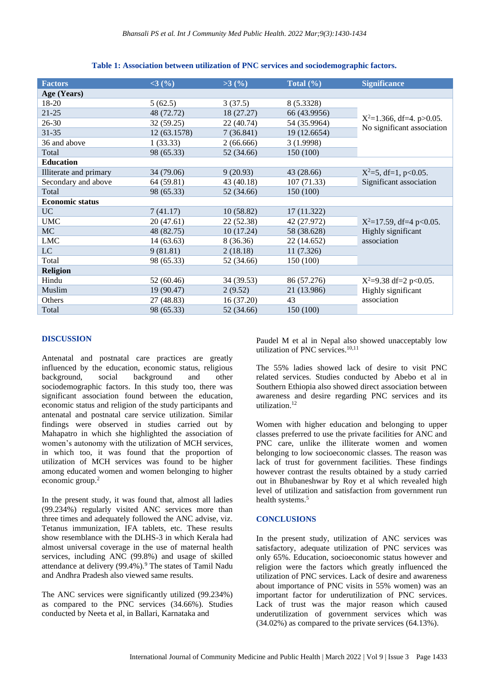| <b>Factors</b>         | <3(%)        | $>3$ (%)   | Total $(\% )$ | <b>Significance</b>                                             |
|------------------------|--------------|------------|---------------|-----------------------------------------------------------------|
| Age (Years)            |              |            |               |                                                                 |
| 18-20                  | 5(62.5)      | 3(37.5)    | 8 (5.3328)    | $X^2=1.366$ , df=4. p>0.05.<br>No significant association       |
| $21 - 25$              | 48 (72.72)   | 18 (27.27) | 66 (43.9956)  |                                                                 |
| $26 - 30$              | 32 (59.25)   | 22 (40.74) | 54 (35.9964)  |                                                                 |
| $31 - 35$              | 12 (63.1578) | 7(36.841)  | 19 (12.6654)  |                                                                 |
| 36 and above           | 1(33.33)     | 2(66.666)  | 3(1.9998)     |                                                                 |
| Total                  | 98 (65.33)   | 52 (34.66) | 150 (100)     |                                                                 |
| <b>Education</b>       |              |            |               |                                                                 |
| Illiterate and primary | 34 (79.06)   | 9(20.93)   | 43 (28.66)    | $X^2=5$ , df=1, p<0.05.                                         |
| Secondary and above    | 64 (59.81)   | 43 (40.18) | 107(71.33)    | Significant association                                         |
| Total                  | 98 (65.33)   | 52 (34.66) | 150 (100)     |                                                                 |
| <b>Economic status</b> |              |            |               |                                                                 |
| <b>UC</b>              | 7(41.17)     | 10(58.82)  | 17 (11.322)   |                                                                 |
| <b>UMC</b>             | 20(47.61)    | 22 (52.38) | 42 (27.972)   | $X^2=17.59$ , df=4 p<0.05.<br>Highly significant<br>association |
| <b>MC</b>              | 48 (82.75)   | 10(17.24)  | 58 (38.628)   |                                                                 |
| <b>LMC</b>             | 14(63.63)    | 8 (36.36)  | 22 (14.652)   |                                                                 |
| LC                     | 9(81.81)     | 2(18.18)   | 11(7.326)     |                                                                 |
| Total                  | 98 (65.33)   | 52 (34.66) | 150 (100)     |                                                                 |
| <b>Religion</b>        |              |            |               |                                                                 |
| Hindu                  | 52 (60.46)   | 34 (39.53) | 86 (57.276)   | $X^2=9.38$ df=2 p<0.05.                                         |
| Muslim                 | 19 (90.47)   | 2(9.52)    | 21 (13.986)   | Highly significant<br>association                               |
| Others                 | 27 (48.83)   | 16(37.20)  | 43            |                                                                 |
| Total                  | 98 (65.33)   | 52 (34.66) | 150 (100)     |                                                                 |

**Table 1: Association between utilization of PNC services and sociodemographic factors.**

#### **DISCUSSION**

Antenatal and postnatal care practices are greatly influenced by the education, economic status, religious background, social background and other sociodemographic factors. In this study too, there was significant association found between the education, economic status and religion of the study participants and antenatal and postnatal care service utilization. Similar findings were observed in studies carried out by Mahapatro in which she highlighted the association of women's autonomy with the utilization of MCH services, in which too, it was found that the proportion of utilization of MCH services was found to be higher among educated women and women belonging to higher economic group.<sup>2</sup>

In the present study, it was found that, almost all ladies (99.234%) regularly visited ANC services more than three times and adequately followed the ANC advise, viz. Tetanus immunization, IFA tablets, etc. These results show resemblance with the DLHS-3 in which Kerala had almost universal coverage in the use of maternal health services, including ANC (99.8%) and usage of skilled attendance at delivery (99.4%).<sup>9</sup> The states of Tamil Nadu and Andhra Pradesh also viewed same results.

The ANC services were significantly utilized (99.234%) as compared to the PNC services (34.66%). Studies conducted by Neeta et al, in Ballari, Karnataka and

Paudel M et al in Nepal also showed unacceptably low utilization of PNC services.10,11

The 55% ladies showed lack of desire to visit PNC related services. Studies conducted by Abebo et al in Southern Ethiopia also showed direct association between awareness and desire regarding PNC services and its utilization.<sup>12</sup>

Women with higher education and belonging to upper classes preferred to use the private facilities for ANC and PNC care, unlike the illiterate women and women belonging to low socioeconomic classes. The reason was lack of trust for government facilities. These findings however contrast the results obtained by a study carried out in Bhubaneshwar by Roy et al which revealed high level of utilization and satisfaction from government run health systems.<sup>5</sup>

#### **CONCLUSIONS**

In the present study, utilization of ANC services was satisfactory, adequate utilization of PNC services was only 65%. Education, socioeconomic status however and religion were the factors which greatly influenced the utilization of PNC services. Lack of desire and awareness about importance of PNC visits in 55% women) was an important factor for underutilization of PNC services. Lack of trust was the major reason which caused underutilization of government services which was (34.02%) as compared to the private services (64.13%).